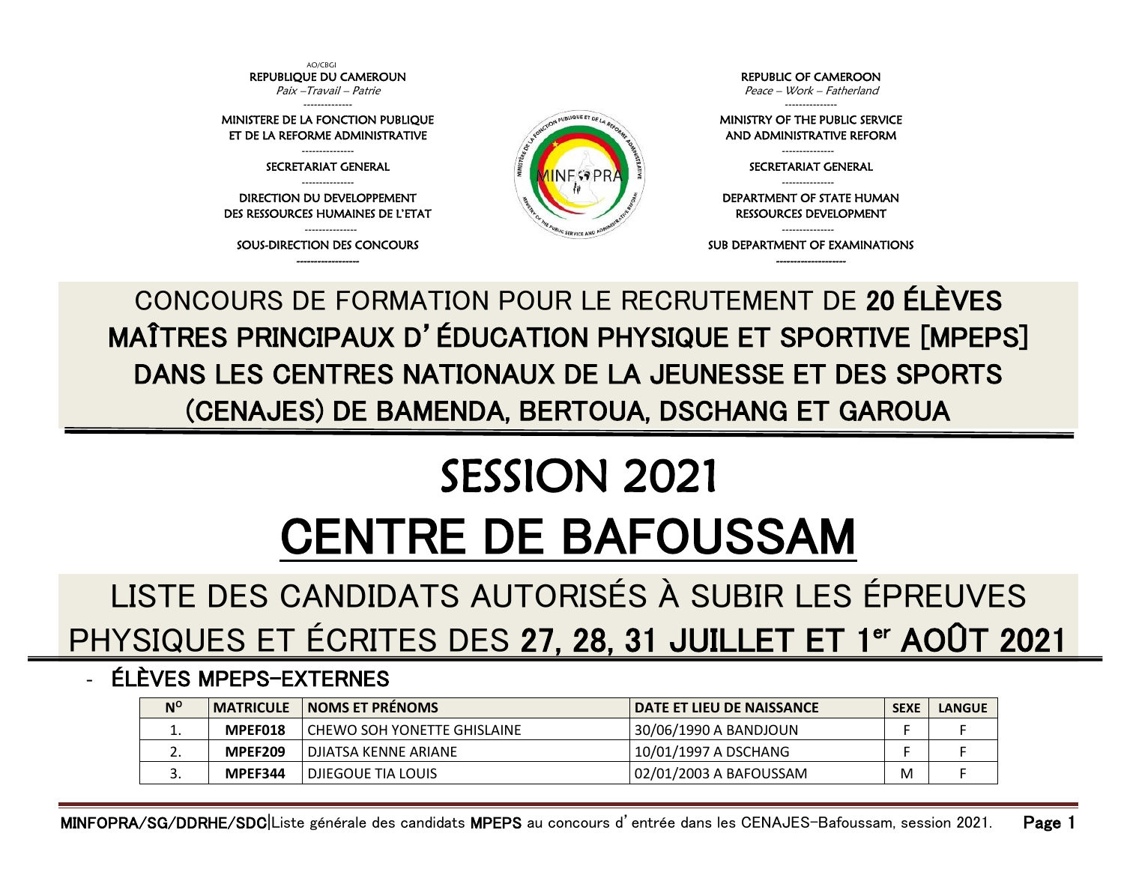AO/CBGI REPUBLIQUE DU CAMEROUN Paix –Travail – Patrie -------------- MINISTERE DE LA FONCTION PUBLIQUE ET DE LA REFORME ADMINISTRATIVE --------------- SECRETARIAT GENERAL --------------- DIRECTION DU DEVELOPPEMENT DES RESSOURCES HUMAINES DE L'ETAT --------------- SOUS-DIRECTION DES CONCOURS ------------------ REPUBLIC OF CAMEROON Peace – Work – Fatherland --------------- MINISTRY OF THE PUBLIC SERVICE AND ADMINISTRATIVE REFORM --------------- SECRETARIAT GENERAL --------------- DEPARTMENT OF STATE HUMAN RESSOURCES DEVELOPMENT --------------- SUB DEPARTMENT OF EXAMINATIONS --------------------

CONCOURS DE FORMATION POUR LE RECRUTEMENT DE 20 ÉLÈVES MAÎTRES PRINCIPAUX D'ÉDUCATION PHYSIQUE ET SPORTIVE [MPEPS] DANS LES CENTRES NATIONAUX DE LA JEUNESSE ET DES SPORTS (CENAJES) DE BAMENDA, BERTOUA, DSCHANG ET GAROUA

## SESSION 2021 CENTRE DE BAFOUSSAM

LISTE DES CANDIDATS AUTORISÉS À SUBIR LES ÉPREUVES PHYSIQUES ET ÉCRITES DES 27, 28, 31 JUILLET ET 1<sup>er</sup> AOÛT 2021

## - ÉLÈVES MPEPS-EXTERNES

| $N^{\circ}$ |                | <b>MATRICULE</b> NOMS ET PRENOMS | l DATE ET LIEU DE NAISSANCE | <b>SEXE</b> | <b>LANGUE</b> |
|-------------|----------------|----------------------------------|-----------------------------|-------------|---------------|
| <b>.</b>    | MPEF018        | I CHEWO SOH YONETTE GHISLAINE    | 30/06/1990 A BANDJOUN       |             |               |
| <u>.</u> .  | <b>MPEF209</b> | I DJIATSA KENNE ARIANE           | 10/01/1997 A DSCHANG        |             |               |
| J.          | MPEF344        | <b>I DJIEGOUE TIA LOUIS</b>      | 02/01/2003 A BAFOUSSAM      | M           |               |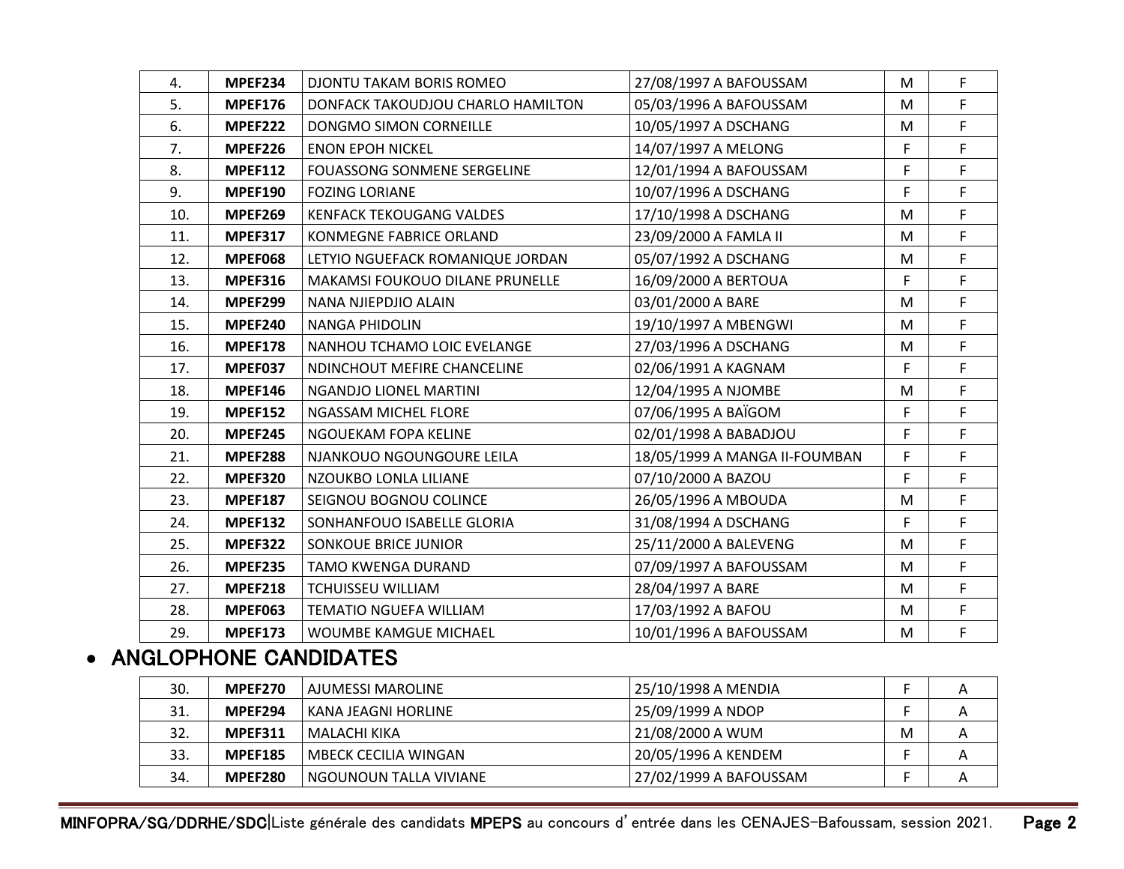| 4.  | <b>MPEF234</b> | DJONTU TAKAM BORIS ROMEO           | 27/08/1997 A BAFOUSSAM        | M  | F. |
|-----|----------------|------------------------------------|-------------------------------|----|----|
| 5.  | <b>MPEF176</b> | DONFACK TAKOUDJOU CHARLO HAMILTON  | 05/03/1996 A BAFOUSSAM        | M  | F  |
| 6.  | <b>MPEF222</b> | DONGMO SIMON CORNEILLE             | 10/05/1997 A DSCHANG          | M  | F  |
| 7.  | <b>MPEF226</b> | <b>ENON EPOH NICKEL</b>            | 14/07/1997 A MELONG           | F  | F  |
| 8.  | <b>MPEF112</b> | <b>FOUASSONG SONMENE SERGELINE</b> | 12/01/1994 A BAFOUSSAM        | F  | F  |
| 9.  | <b>MPEF190</b> | <b>FOZING LORIANE</b>              | 10/07/1996 A DSCHANG          | F  | F  |
| 10. | <b>MPEF269</b> | <b>KENFACK TEKOUGANG VALDES</b>    | 17/10/1998 A DSCHANG          | M  | F  |
| 11. | <b>MPEF317</b> | <b>KONMEGNE FABRICE ORLAND</b>     | 23/09/2000 A FAMLA II         | M  | F. |
| 12. | <b>MPEF068</b> | LETYIO NGUEFACK ROMANIQUE JORDAN   | 05/07/1992 A DSCHANG          | M  | F  |
| 13. | <b>MPEF316</b> | MAKAMSI FOUKOUO DILANE PRUNELLE    | 16/09/2000 A BERTOUA          | F. | F  |
| 14. | <b>MPEF299</b> | NANA NJIEPDJIO ALAIN               | 03/01/2000 A BARE             | M  | F  |
| 15. | MPEF240        | <b>NANGA PHIDOLIN</b>              | 19/10/1997 A MBENGWI          | M  | F  |
| 16. | <b>MPEF178</b> | NANHOU TCHAMO LOIC EVELANGE        | 27/03/1996 A DSCHANG          | M  | F  |
| 17. | MPEF037        | NDINCHOUT MEFIRE CHANCELINE        | 02/06/1991 A KAGNAM           | F. | F  |
| 18. | <b>MPEF146</b> | NGANDJO LIONEL MARTINI             | 12/04/1995 A NJOMBE           | M  | F. |
| 19. | <b>MPEF152</b> | NGASSAM MICHEL FLORE               | 07/06/1995 A BAÏGOM           | F  | F. |
| 20. | <b>MPEF245</b> | NGOUEKAM FOPA KELINE               | 02/01/1998 A BABADJOU         | F  | F  |
| 21. | <b>MPEF288</b> | NJANKOUO NGOUNGOURE LEILA          | 18/05/1999 A MANGA II-FOUMBAN | F. | F  |
| 22. | <b>MPEF320</b> | NZOUKBO LONLA LILIANE              | 07/10/2000 A BAZOU            | F  | F  |
| 23. | <b>MPEF187</b> | SEIGNOU BOGNOU COLINCE             | 26/05/1996 A MBOUDA           | M  | F  |
| 24. | <b>MPEF132</b> | SONHANFOUO ISABELLE GLORIA         | 31/08/1994 A DSCHANG          | F. | F  |
| 25. | <b>MPEF322</b> | <b>SONKOUE BRICE JUNIOR</b>        | 25/11/2000 A BALEVENG         | M  | F. |
| 26. | <b>MPEF235</b> | TAMO KWENGA DURAND                 | 07/09/1997 A BAFOUSSAM        | M  | F  |
| 27. | <b>MPEF218</b> | <b>TCHUISSEU WILLIAM</b>           | 28/04/1997 A BARE             | M  | F  |
| 28. | <b>MPEF063</b> | <b>TEMATIO NGUEFA WILLIAM</b>      | 17/03/1992 A BAFOU            | M  | F  |
| 29. | <b>MPEF173</b> | <b>WOUMBE KAMGUE MICHAEL</b>       | 10/01/1996 A BAFOUSSAM        | M  | F  |

## • ANGLOPHONE CANDIDATES

| 30. | MPEF270        | I AJUMESSI MAROLINE         | 25/10/1998 A MENDIA    |   | А |
|-----|----------------|-----------------------------|------------------------|---|---|
| 31. | MPEF294        | l KANA JEAGNI HORLINE       | 25/09/1999 A NDOP      |   | A |
| 32. | <b>MPEF311</b> | l MALACHI KIKA              | 21/08/2000 A WUM       | M | A |
| 33. | <b>MPEF185</b> | <b>MBECK CECILIA WINGAN</b> | 20/05/1996 A KENDEM    |   | A |
| 34. | <b>MPEF280</b> | l NGOUNOUN TALLA VIVIANE    | 27/02/1999 A BAFOUSSAM |   | A |